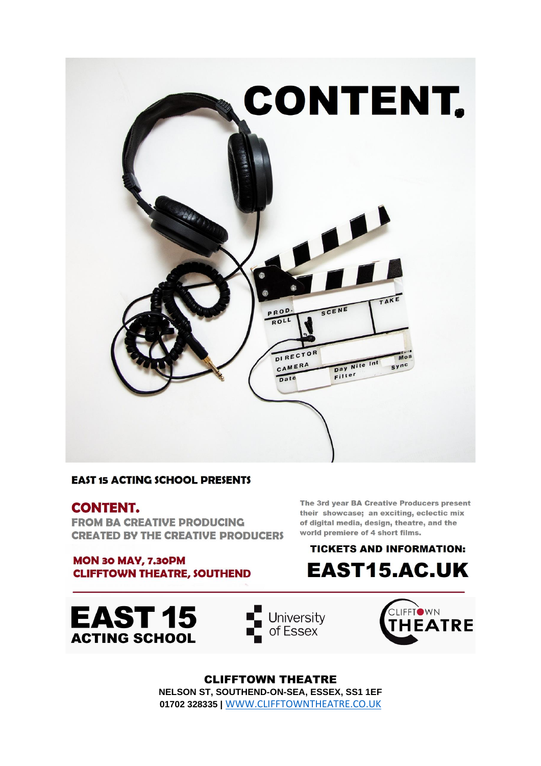

#### **EAST 15 ACTING SCHOOL PRESENTS**

#### **CONTENT.**

**FROM BA CREATIVE PRODUCING CREATED BY THE CREATIVE PRODUCERS** 

**MON 30 MAY, 7.30PM CLIFFTOWN THEATRE, SOUTHEND**  The 3rd year BA Creative Producers present their showcase; an exciting, eclectic mix of digital media, design, theatre, and the world premiere of 4 short films.

## **TICKETS AND INFORMATION: EAST15.AC.UK**

**EAST 15 ACTING SCHOOL** 





**CLIFFTOWN THEATRE** NELSON ST, SOUTHEND-ON-SEA, ESSEX, SS1 1EF 01702 328335 | WWW.CLIFFTOWNTHEATRE.CO.UK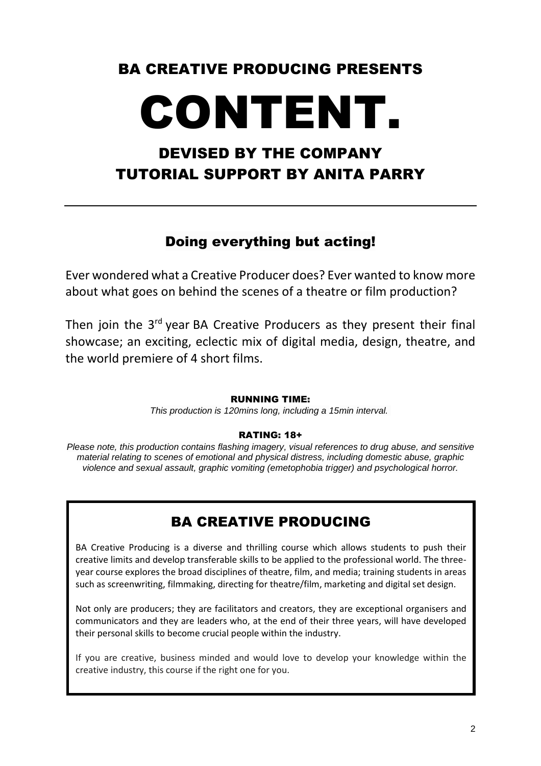# BA CREATIVE PRODUCING PRESENTS

# CONTENT.

# DEVISED BY THE COMPANY TUTORIAL SUPPORT BY ANITA PARRY

#### Doing everything but acting!

Ever wondered what a Creative Producer does? Ever wanted to know more about what goes on behind the scenes of a theatre or film production?

Then join the 3<sup>rd</sup> year BA Creative Producers as they present their final showcase; an exciting, eclectic mix of digital media, design, theatre, and the world premiere of 4 short films.

#### RUNNING TIME:

*This production is 120mins long, including a 15min interval.*

#### RATING: 18+

*Please note, this production contains flashing imagery, visual references to drug abuse, and sensitive material relating to scenes of emotional and physical distress, including domestic abuse, graphic violence and sexual assault, graphic vomiting (emetophobia trigger) and psychological horror.* 

### BA CREATIVE PRODUCING

BA Creative Producing is a diverse and thrilling course which allows students to push their creative limits and develop transferable skills to be applied to the professional world. The threeyear course explores the broad disciplines of theatre, film, and media; training students in areas such as screenwriting, filmmaking, directing for theatre/film, marketing and digital set design.

Not only are producers; they are facilitators and creators, they are exceptional organisers and communicators and they are leaders who, at the end of their three years, will have developed their personal skills to become crucial people within the industry.

If you are creative, business minded and would love to develop your knowledge within the creative industry, this course if the right one for you.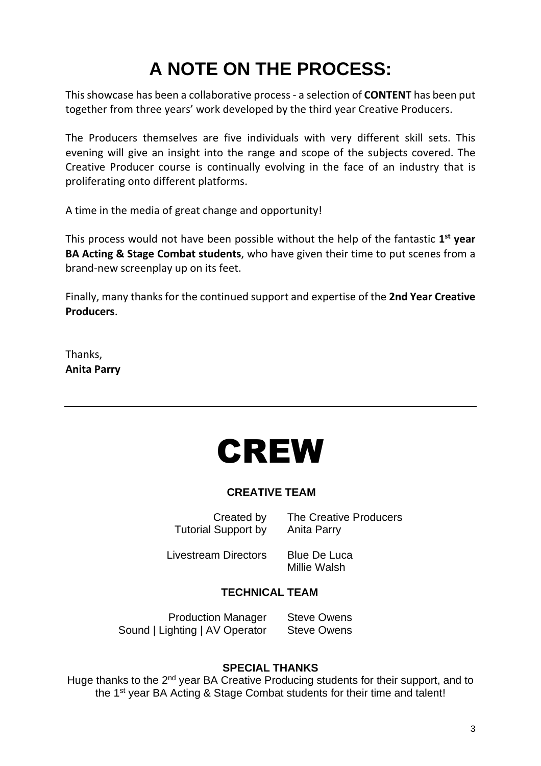# **A NOTE ON THE PROCESS:**

This showcase has been a collaborative process - a selection of **CONTENT** has been put together from three years' work developed by the third year Creative Producers.

The Producers themselves are five individuals with very different skill sets. This evening will give an insight into the range and scope of the subjects covered. The Creative Producer course is continually evolving in the face of an industry that is proliferating onto different platforms.

A time in the media of great change and opportunity!

This process would not have been possible without the help of the fantastic **1 st year BA Acting & Stage Combat students**, who have given their time to put scenes from a brand-new screenplay up on its feet.

Finally, many thanks for the continued support and expertise of the **2nd Year Creative Producers**.

Thanks, **Anita Parry**



#### **CREATIVE TEAM**

Tutorial Support by Anita Parry

Created by The Creative Producers

Livestream Directors Blue De Luca

Millie Walsh

#### **TECHNICAL TEAM**

Production Manager Steve Owens Sound | Lighting | AV Operator Steve Owens

#### **SPECIAL THANKS**

Huge thanks to the 2<sup>nd</sup> year BA Creative Producing students for their support, and to the 1<sup>st</sup> year BA Acting & Stage Combat students for their time and talent!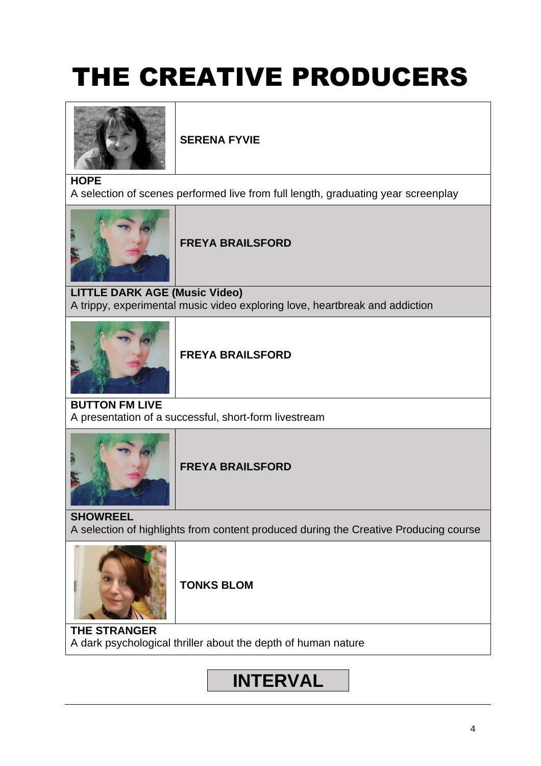# THE CREATIVE PRODUCERS



**SERENA FYVIE**

#### **HOPE**

A selection of scenes performed live from full length, graduating year screenplay



#### **FREYA BRAILSFORD**

**LITTLE DARK AGE (Music Video)** A trippy, experimental music video exploring love, heartbreak and addiction



#### **FREYA BRAILSFORD**

**BUTTON FM LIVE** A presentation of a successful, short-form livestream



#### **FREYA BRAILSFORD**

**SHOWREEL** A selection of highlights from content produced during the Creative Producing course



**TONKS BLOM**

**THE STRANGER** A dark psychological thriller about the depth of human nature

# **…...INTERVAL…...**